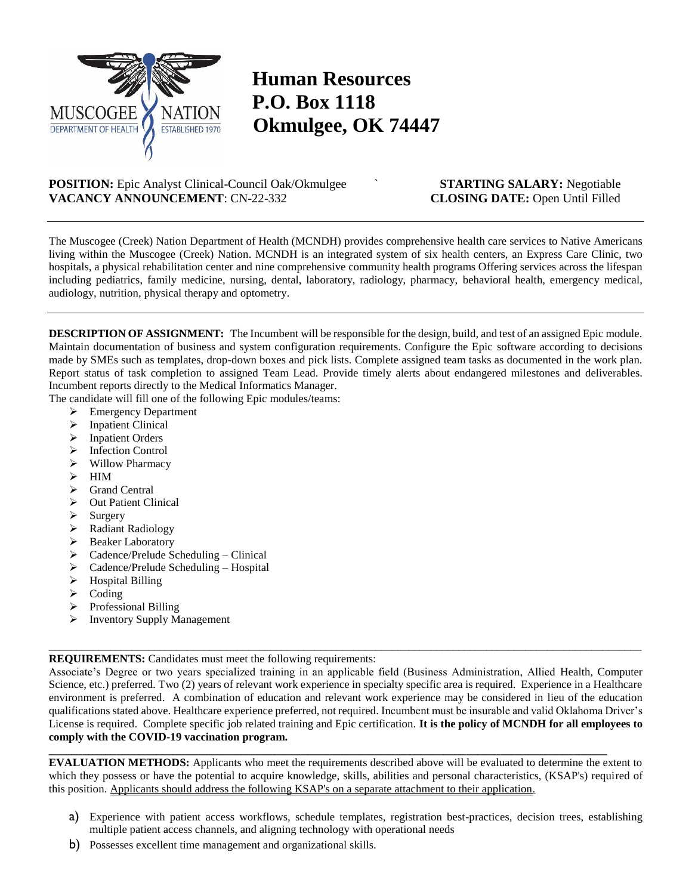

## **Human Resources P.O. Box 1118 Okmulgee, OK 74447**

**POSITION:** Epic Analyst Clinical-Council Oak/Okmulgee ` **STARTING SALARY:** Negotiable **VACANCY ANNOUNCEMENT**: CN-22-332 **CLOSING DATE:** Open Until Filled

The Muscogee (Creek) Nation Department of Health (MCNDH) provides comprehensive health care services to Native Americans living within the Muscogee (Creek) Nation. MCNDH is an integrated system of six health centers, an Express Care Clinic, two hospitals, a physical rehabilitation center and nine comprehensive community health programs Offering services across the lifespan including pediatrics, family medicine, nursing, dental, laboratory, radiology, pharmacy, behavioral health, emergency medical, audiology, nutrition, physical therapy and optometry.

**DESCRIPTION OF ASSIGNMENT:** The Incumbent will be responsible for the design, build, and test of an assigned Epic module. Maintain documentation of business and system configuration requirements. Configure the Epic software according to decisions made by SMEs such as templates, drop-down boxes and pick lists. Complete assigned team tasks as documented in the work plan. Report status of task completion to assigned Team Lead. Provide timely alerts about endangered milestones and deliverables. Incumbent reports directly to the Medical Informatics Manager.

The candidate will fill one of the following Epic modules/teams:

- Emergency Department
- $\triangleright$  Inpatient Clinical
- > Inpatient Orders
- $\triangleright$  Infection Control
- $\triangleright$  Willow Pharmacy
- $\triangleright$  HIM
- $\triangleright$  Grand Central
- > Out Patient Clinical
- $\triangleright$  Surgery
- Radiant Radiology
- > Beaker Laboratory
- $\triangleright$  Cadence/Prelude Scheduling Clinical
- $\triangleright$  Cadence/Prelude Scheduling Hospital
- $\triangleright$  Hospital Billing
- $\triangleright$  Coding
- $\triangleright$  Professional Billing
- $\triangleright$  Inventory Supply Management

## **REQUIREMENTS:** Candidates must meet the following requirements:

Associate's Degree or two years specialized training in an applicable field (Business Administration, Allied Health, Computer Science, etc.) preferred. Two (2) years of relevant work experience in specialty specific area is required. Experience in a Healthcare environment is preferred. A combination of education and relevant work experience may be considered in lieu of the education qualifications stated above. Healthcare experience preferred, not required. Incumbent must be insurable and valid Oklahoma Driver's License is required. Complete specific job related training and Epic certification. **It is the policy of MCNDH for all employees to comply with the COVID-19 vaccination program.**

\_\_\_\_\_\_\_\_\_\_\_\_\_\_\_\_\_\_\_\_\_\_\_\_\_\_\_\_\_\_\_\_\_\_\_\_\_\_\_\_\_\_\_\_\_\_\_\_\_\_\_\_\_\_\_\_\_\_\_\_\_\_\_\_\_\_\_\_\_\_\_\_\_\_\_\_\_\_\_\_\_\_\_\_\_\_\_\_\_\_\_\_\_\_\_\_\_\_\_\_\_\_\_\_\_\_\_

**EVALUATION METHODS:** Applicants who meet the requirements described above will be evaluated to determine the extent to which they possess or have the potential to acquire knowledge, skills, abilities and personal characteristics, (KSAP's) required of this position. Applicants should address the following KSAP's on a separate attachment to their application.

**\_\_\_\_\_\_\_\_\_\_\_\_\_\_\_\_\_\_\_\_\_\_\_\_\_\_\_\_\_\_\_\_\_\_\_\_\_\_\_\_\_\_\_\_\_\_\_\_\_\_\_\_\_\_\_\_\_\_\_\_\_\_\_\_\_\_\_\_\_\_\_\_\_\_\_\_\_\_\_\_\_\_\_\_\_\_\_\_\_\_\_\_\_\_\_\_\_\_\_**

- a) Experience with patient access workflows, schedule templates, registration best-practices, decision trees, establishing multiple patient access channels, and aligning technology with operational needs
- b) Possesses excellent time management and organizational skills.